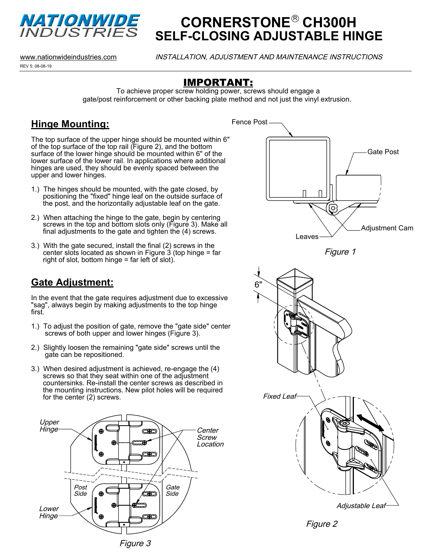

# **CORNERSTONE<sup>®</sup> CH300H SELF-CLOSING ADJUSTABLE HINGE**

REV 5: 08-08-19 www.nationwideindustries.com INSTALLATION, ADJUSTMENT AND MAINTENANCE INSTRUCTIONS

#### IMPORTANT:

To achieve proper screw holding power, screws should engage a gate/post reinforcement or other backing plate method and not just the vinyl extrusion.

## **Hinge Mounting:**

The top surface of the upper hinge should be mounted within 6" of the top surface of the top rail (Figure 2), and the bottom surface of the lower hinge should be mounted within 6" of the lower surface of the lower rail. In applications where additional hinges are used, they should be evenly spaced between the upper and lower hinges.

- 1.) The hinges should be mounted, with the gate closed, by positioning the "fixed" hinge leaf on the outside surface of the post, and the horizontally adjustable leaf on the gate.
- 2.) When attaching the hinge to the gate, begin by centering screws in the top and bottom slots only (Figure 3). Make all final adjustments to the gate and tighten the (4) screws.
- 3.) With the gate secured, install the final (2) screws in the center slots located as shown in Figure  $3$  (top hinge = far right of slot, bottom hinge = far left of slot).

### **Gate Adjustment:**

In the event that the gate requires adjustment due to excessive "sag", always begin by making adjustments to the top hinge first.

- 1.) To adjust the position of gate, remove the "gate side" center screws of both upper and lower hinges (Figure 3).
- 2.) Slightly loosen the remaining "gate side" screws until the gate can be repositioned.
- 3.) When desired adjustment is achieved, re-engage the (4) screws so that they seat within one of the adjustment countersinks. Re-install the center screws as described in the mounting instructions. New pilot holes will be required for the center (2) screws.









Figure 2